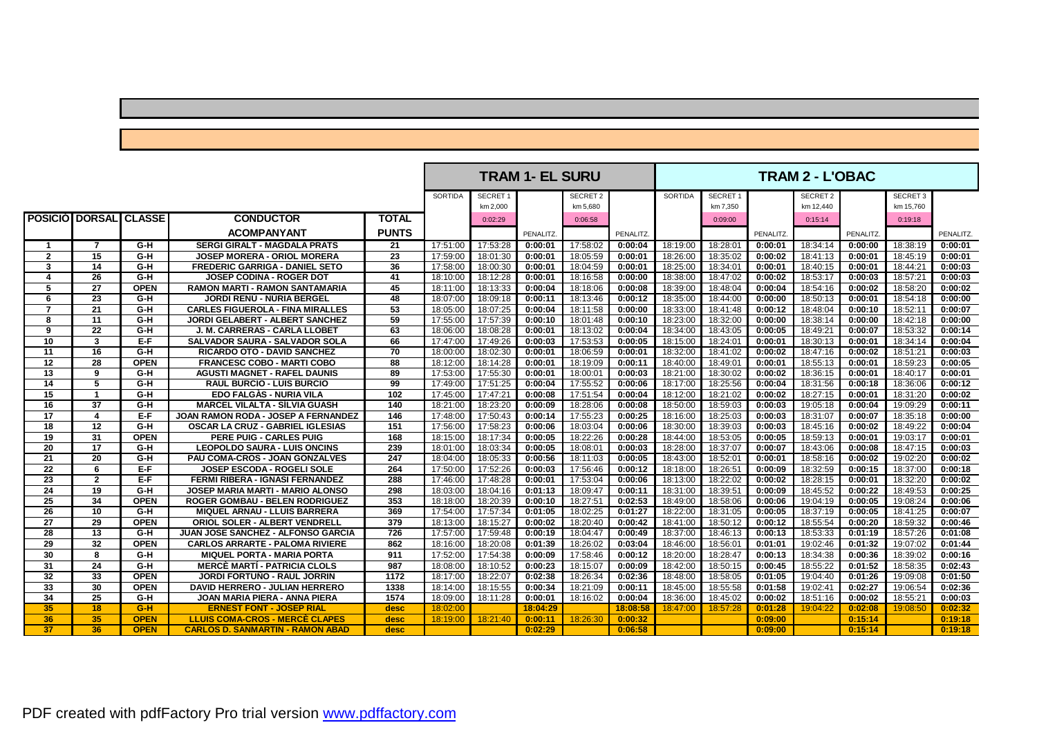## SORTIDA SECRET1 | SECRET2 | SORTIDA SECRET1 | SECRET2 | SECRET3 km 2,000 km 5,680 km 7,350 km 12,440 km 15,760 **POSICIÓ | DORSAL | CLASSE | CONDUCTOR | TOTAL** | 0:02:29 0:02:39 0:06:58 | 0:09:00 0:09:00 | 0:15:14 | 0:15:14 | 0:19:18 **ACOMPANYANT PUNTS** PENALITZ. PENALITZ. PENALITZ. PENALITZ. PENALITZ. 1 7 G-H SERGIGIRALT MAGDALA PRATS 21 17:51:00 17:53:28 0:00:01 17:58:02 0:00:04 18:19:00 18:28:01 0:00:01 18:34:14 0:00:00 18:38:19 0:00:01 2 15 G-H JOSEP MORERA - ORIOL MORERA 23 17:59:00 18:01:30 0:00:01 18:05:59 0:00:01 18:26:00 18:35:02 0:00:02 18:41:13 0:00:01 18:45:19 0:00:01 3 | 14 | G-H | FREDERIC GARRIGA - DANIEL SETO | 36 | 17:58:00 | 18:00:30 | 0:00:01 | 18:04:59 | 0:00:01 | 18:25:00 | 18:34:01 | 0:00:01 | 18:44:21 | 0:00:01 | 18:44:21 | 0:00:03 **4 26 G-H JOSEP CODINA - ROGER DOT 41** 18:10:00 18:12:28 **0:00:01** 18:16:58 **0:00:00** 18:38:00 18:47:02 **0:00:02** 18:53:17 **0:00:03** 18:57:21 **0:00:03 5 27 OPEN RAMON MARTI - RAMON SANTAMARIA 45** 18:11:00 18:13:33 **0:00:04** 18:18:06 **0:00:08** 18:39:00 18:48:04 **0:00:04** 18:54:16 **0:00:02** 18:58:20 **0:00:02 6 23 G-H JORDI RENÚ - NÚRIA BERGEL 48** 18:07:00 18:09:18 **0:00:11** 18:13:46 **0:00:12** 18:35:00 18:44:00 **0:00:00** 18:50:13 **0:00:01** 18:54:18 **0:00:00** 7 21 C-H CARLES FIGUEROLA - FINA MIRALLES 53 18:05:00 18:07:25 0:00:04 18:11:58 0:00:00 18:33:00 18:41:48 0:00:12 18:48:04 0:00:10 18:52:11 0:00:07 8 11 G-H JORDI GELABERT - ALBERT SANCHEZ 59 17:55:00 17:57:39 0:00:10 18:01:48 0:00:10 18:32:00 0:03:00 0:00:00 18:38:14 0:00:00 18:42:18 0:00:00  $\begin{array}{c|cccccccc} 9 & 22 & G-H & J. \text{M. CARRERAS - CARL ALOBET} & 63 & 18:06:00 & 18:08:28 & 0:00:01 & 18:13:02 & 0:00:04 & 18:34:00 & 18:34:05 & 0:00:05 & 18:49:21 & 0:00:07 & 18:53:32 & 0:00:14 \ 10 & 3 & E-F & SALVADOR SAURA - SALVADOR SOLA & 66 & 17:47:00 & 17:49:26 & 0:00:03 & 1$ 10 3 E-F SALVADOR SAURA - SALVADOR SOLA 66 17:47:00 17:49:26 0:00:03 17:53:53 0:00:05 18:15:00 18:24:01 0:00:01 18:30:13 0:00:01 **11 16 G-H RICARDO OTO - DAVID SANCHEZ 70** 18:00:00 18:02:30 **0:00:01** 18:06:59 **0:00:01** 18:32:00 18:41:02 **0:00:02** 18:47:16 **0:00:02** 18:51:21 **0:00:03**  $\begin{array}{c|cccccccccccc} 12 & 28 & \text{OPEN} & \text{FRANCESC COBO - MARTI COBO} & 88 & 18:12:00 & 18:14:28 & 0:00:01 & 18:19:09 & 0:00:11 & 18:40:00 & 18:49:01 & 0:00:01 & 18:55:13 & 0:00:01 & 18:9:23 & 0:00:05 \\ \hline \end{array}$ **13 9 G-H AGUSTI MAGNET - RAFEL DAUNIS 89** 17:53:00 17:55:30 **0:00:01** 18:00:01 **0:00:03** 18:21:00 18:30:02 **0:00:02** 18:36:15 **0:00:01** 18:40:17 **0:00:01** 14 | 5 | G-H | RAUL BURCIO - LUIS BURCIO | 99 | 17:49:00 | 17:51:25 | 0:00:04 | 17:55:52 | 0:00:06 | 18:17:00 | 18:25:56 | 0:00:04 | 18:31:56 | 0:00:18 | 18:36:06 | 0:00:12 15 | 1 | G-H | EDO FALGAS - NURIA VILA | 102 | 17:45:00 | 17:47:21 | 0:00:08 | 17:51:54 | 0:00:04 | 18:12:00 | 18:21:02 | 0:00:02 | 18:27:15 | 0:00:01 | 18:31:20 | 0:00:02 16 37 G-H MARCEL VILALTA - SILVIA GUASH 140 18:21:00 18:23:20 0:00:09 18:28:06 0:00:08 18:50:00 18:59:03 0:00:03 19:05:18 0:00:04 19:09:29 0:00:11 17 4 E-F JOAN RAMON RODA - JOSEP A FERNANDEZ 146 17:48:00 17:50:43 0:00:14 17:55:23 0:00:25 18:16:00 18:25:03 0:00:03 18:31:07 0:00:07 18:35:18 0:00:00 18 12 G-H OSCAR LA CRUZ - GABRIEL IGLESIAS 151 17:56:00 17:58:23 0:00:06 18:03:04 0:00:06 18:30:00 18:39:03 0:00:03 18:45:16 0:00:02 18:49:22 0:00:04 19 31 OPEN PERE PUIG - CARLES PUIG 168 18:15:00 18:17:34 0:00:05 18:22:26 0:00:28 18:44:00 18:53:05 0:00:05 18:59:13 0:00:01 19:03:17 0:00:01 20 | 17 | G-H | LEOPOLDO SAURA - LUIS ONCINS | 239 | 18:01:00 | 18:03:34 | 0:00:05 | 18:08:01 | 0:00:03 | 18:28:00 | 18:37:07 | 0:00:07 | 18:43:06 | 0:00:08 | 18:47:15 | 0:00:03 21 20 G-H PAU COMA-CROS - JOAN GONZALVES 247 18:04:00 18:05:33 0:00:56 18:11:03 0:00:05 18:43:00 18:52:01 0:00:01 18:58:16 0:00:02 19:02:20 0:00:02 28 6 E-F JOSEP ESCODA - ROGELI SOLE 264 17:50:00 17:52:26 0:00:03 17:56:46 0:00:12 18:18:00 18:26:51 0:00:09 18:32:59 0:00:15 18:37:00 0:00:18 **23 2 E-F FERMI RIBERA - IGNASI FERNANDEZ 288** 17:46:00 17:48:28 **0:00:01** 17:53:04 **0:00:06** 18:13:00 18:22:02 **0:00:02** 18:28:15 **0:00:01** 18:32:20 **0:00:02 24 19 G-H JOSEP MARIA MARTI - MARIO ALONSO 298** 18:03:00 18:04:16 **0:01:13** 18:09:47 **0:00:11** 18:31:00 18:39:51 **0:00:09** 18:45:52 **0:00:22** 18:49:53 **0:00:25** 25 34 OPEN ROGER GOMBAU - BELEN RODRIGUEZ 353 18:18:00 18:20:39 0:00:10 18:27:51 0:02:53 18:49:00 18:58:06 0:00:06 19:04:19 0:00:05 19:08:24 0:00:06 26 10 G-H MIQUEL ARNAU - LLUIS BARRERA 369 17:54:00 17:57:34 0:01:05 18:02:25 0:01:27 18:22:00 18:31:05 0:00:05 18:37:19 0:00:05 18:41:25 0:00:07<br>27 29 OPEN ORIOL SOLER - ALBERT VENDRELL 379 18:13:00 18:15:27 0:00:02 18:20 27 29 OPEN ORIOL SOLER - ALBERT VENDRELL 379 18:13:00 18:15:27 0:00:02 18:20:40 0:00:42 18:41:00 18:50:12 0:00:12 18:55:54 0:00:20 18:59:32 0:00:46 28 13 G-H JUAN JOSE SANCHEZ - ALFONSO GARCIA 726 17:57:00 17:59:48 0:00:19 18:04:47 0:00:49 18:37:00 18:46:13 0:00:13 18:53:33 0:01:19 18:57:26 0:01:08 29 32 OPEN CARLOS ARRARTE - PALOMA RIVIERE 862 862 18:16:00 18:20:08 0:01:39 18:26:02 0:03:04 18:46:00 18:56:01 0:01:01 19:02:46 0:01:32 19:07:02 0:01:44 30 8 G-H MIQUEL PORTA - MARIA PORTA 911 17:52:00 17:54:38 0:00:09 17:58:46 0:00:12 18:20:00 18:28:47 0:00:13 18:34:38 0:00:36 18:39:02 0:00:16  $\begin{array}{c|cccccccc} 31 & 24 & G-H & MERCE MARTI-PATHICIA CLOLS & 987 & 18:08:00 & 18:10:52 & 0:00:23 & 18:15:07 & 0:00:09 & 18:42:00 & 18:50:15 & 0:00:45 & 18:55:22 & 0:01:52 & 18:58:35 & 0:02:43 \end{array}$ 32 33 OPEN JORDI FORTUNO - RAUL JORRIN 1772 18:17:00 18:22:07 0:02:38 18:26:34 0:02:36 18:48:00 18:58:05 0:01:05 19:04:40 0:01:26 19:09:08 33 | 30 | OPEN | DAVID HERRERO - JULIAN HERRERO | 1338 | 18:14:00 | 18:15:55 | 0:00:34 | 18:21:09 | 0:00:11 | 18:45:00 | 18:55:58 | 0:01:58 | 0:02:41 | 0:02:27 | 19:06:54 | 0:02:36 34 25 G-H JOAN MARIA PIERA - ANNA PIERA 1574 18:09:00 18:11:28 0:00:01 18:16:02 0:00:04 18:36:00 18:45:02 0:00:02 18:51:16 0:00:02 18:55:21 0:00:03 **35 18 G-H ERNEST FONT - JOSEP RIAL desc** 18:02:00 **18:04:29 18:08:58** 18:47:00 18:57:28 **0:01:28** 19:04:22 **0:02:08** 19:08:50 **0:02:32 36 35 OPEN LLUIS COMA-CROS - MERCÈ CLAPES desc** 18:19:00 18:21:40 **0:00:11** 18:26:30 **0:00:32 0:09:00 0:15:14 0:19:18 37 36 OPEN CARLOS D. SANMARTIN - RAMON ABAD desc 0:02:29 0:06:58 0:09:00 0:15:14 0:19:18 TRAM 1- EL SURU TRAM 2 - L'OBAC**

PDF created with pdfFactory Pro trial version [www.pdffactory.com](http://www.pdffactory.com)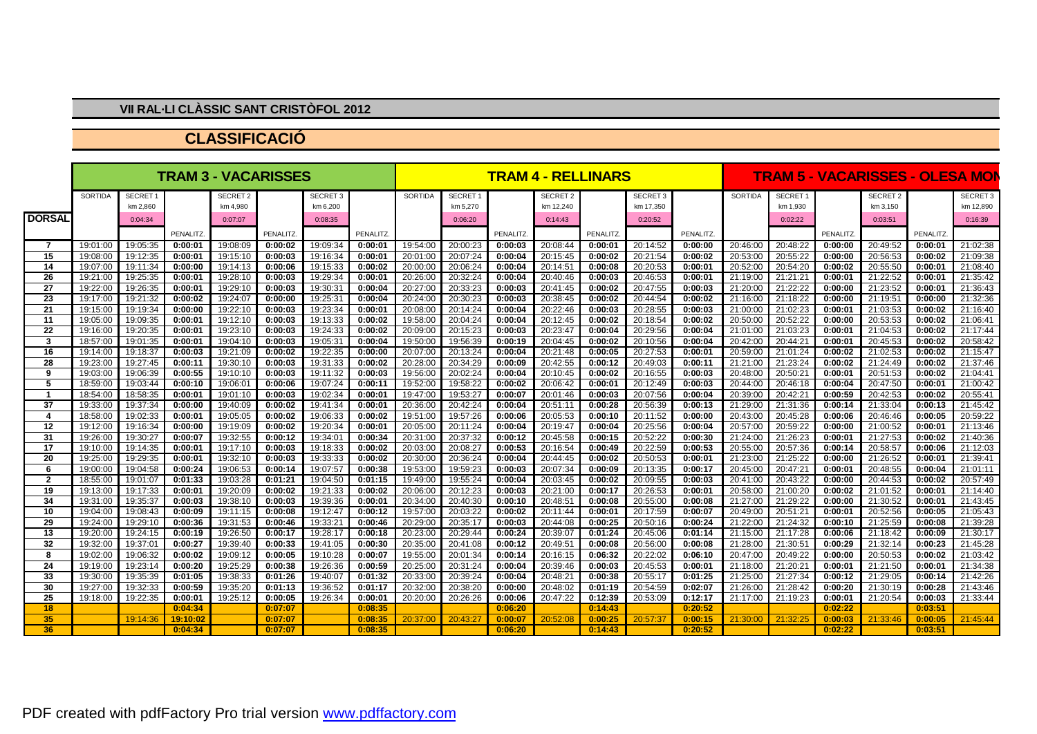## **VII RAL·LI CLÀSSIC SANT CRISTÒFOL 2012**

## **CLASSIFICACIÓ**

|                  | <b>TRAM 3 - VACARISSES</b> |               |          |               |          |                     |          | <b>TRAM 4 - RELLINARS</b> |               |          |                 |          |                     | <b>TRAM 5 - VACARISSES - OLESA MON</b> |          |               |          |                 |          |                |
|------------------|----------------------------|---------------|----------|---------------|----------|---------------------|----------|---------------------------|---------------|----------|-----------------|----------|---------------------|----------------------------------------|----------|---------------|----------|-----------------|----------|----------------|
|                  | <b>SORTIDA</b>             | <b>SECRET</b> |          | <b>SECRET</b> |          | SECRET <sub>3</sub> |          | SORTIDA                   | <b>SECRET</b> |          | <b>SECRET 2</b> |          | SECRET <sub>3</sub> |                                        | SORTIDA  | <b>SECRET</b> |          | <b>SECRET 2</b> |          | <b>SECRET3</b> |
|                  |                            | km 2,860      |          | km 4.980      |          | km 6,200            |          |                           | km 5,270      |          | km 12,240       |          | km 17,350           |                                        |          | km 1.930      |          | km 3.150        |          | km 12,890      |
| <b>DORSAL</b>    |                            | 0:04:34       |          | 0:07:07       |          | 0:08:35             |          |                           | 0:06:20       |          | 0:14:43         |          | 0:20:52             |                                        |          | 0:02:22       |          | 0:03:51         |          | 0:16:39        |
|                  |                            |               | PENALITZ |               | PENALITZ |                     | PENALITZ |                           |               | PENALITZ |                 | PENALITZ |                     | PENALITZ.                              |          |               | PENALITZ |                 | PENALITZ |                |
| -7               | 19:01:00                   | 19:05:35      | 0:00:01  | 19:08:09      | 0:00:02  | 19:09:34            | 0:00:01  | 19:54:00                  | 20:00:23      | 0:00:03  | 20:08:44        | 0:00:01  | 20:14:52            | 0:00:00                                | 20:46:00 | 20:48:22      | 0:00:00  | 20:49:52        | 0:00:01  | 21:02:38       |
| 15               | 19:08:00                   | 19:12:35      | 0:00:01  | 19:15:10      | 0:00:03  | 19:16:34            | 0:00:01  | 20:01:00                  | 20:07:24      | 0:00:04  | 20:15:45        | 0:00:02  | 20:21:54            | 0:00:02                                | 20:53:00 | 20:55:22      | 0:00:00  | 20:56:53        | 0:00:02  | 21:09:38       |
| 14               | 19:07:00                   | 19:11:34      | 0:00:00  | 19:14:13      | 0:00:06  | 19:15:33            | 0:00:02  | 20:00:00                  | 20:06:24      | 0:00:04  | 20:14:51        | 0:00:08  | 20:20:53            | 0:00:01                                | 20:52:00 | 20:54:20      | 0:00:02  | 20:55:50        | 0:00:01  | 21:08:40       |
| 26               | 19:21:00                   | 19:25:35      | 0:00:01  | 19:28:10      | 0:00:03  | 19:29:34            | 0:00:01  | 20:26:00                  | 20:32:24      | 0:00:04  | 20:40:46        | 0:00:03  | 20:46:53            | 0:00:01                                | 21:19:00 | 21:21:21      | 0:00:01  | 21:22:52        | 0:00:01  | 21:35:42       |
| 27               | 19:22:00                   | 19:26:35      | 0:00:01  | 19:29:10      | 0:00:03  | 19:30:31            | 0:00:04  | 20:27:00                  | 20:33:23      | 0:00:03  | 20:41:45        | 0:00:02  | 20:47:55            | 0:00:03                                | 21:20:00 | 21:22:22      | 0:00:00  | 21:23:52        | 0:00:01  | 21:36:43       |
| 23               | 19:17:00                   | 19:21:32      | 0:00:02  | 19:24:07      | 0:00:00  | 19:25:31            | 0:00:04  | 20:24:00                  | 20:30:23      | 0:00:03  | 20:38:45        | 0:00:02  | 20:44:54            | 0:00:02                                | 21:16:00 | 21:18:22      | 0:00:00  | 21:19:51        | 0:00:00  | 21:32:36       |
| 21               | 19:15:00                   | 19:19:34      | 0:00:00  | 19:22:10      | 0:00:03  | 19:23:34            | 0:00:01  | 20:08:00                  | 20:14:24      | 0:00:04  | 20:22:46        | 0:00:03  | 20:28:55            | 0:00:03                                | 21:00:00 | 21:02:23      | 0:00:01  | 21:03:53        | 0:00:02  | 21:16:40       |
| 11               | 19:05:00                   | 19:09:35      | 0:00:01  | 19:12:10      | 0:00:03  | 19:13:33            | 0:00:02  | 19:58:00                  | 20:04:24      | 0:00:04  | 20:12:45        | 0:00:02  | 20:18:54            | 0:00:02                                | 20:50:00 | 20:52:22      | 0:00:00  | 20:53:53        | 0:00:02  | 21:06:41       |
| 22               | 19:16:00                   | 19:20:35      | 0:00:01  | 19:23:10      | 0:00:03  | 19:24:33            | 0:00:02  | 20:09:00                  | 20:15:23      | 0:00:03  | 20:23:47        | 0:00:04  | 20:29:56            | 0:00:04                                | 21:01:00 | 21:03:23      | 0:00:01  | 21:04:53        | 0:00:02  | 21:17:44       |
| 3                | 18:57:00                   | 19:01:35      | 0:00:01  | 19:04:10      | 0:00:03  | 19:05:31            | 0:00:04  | 19:50:00                  | 19:56:39      | 0:00:19  | 20:04:45        | 0:00:02  | 20:10:56            | 0:00:04                                | 20:42:00 | 20:44:21      | 0:00:01  | 20:45:53        | 0:00:02  | 20:58:42       |
| 16               | 19:14:00                   | 19:18:37      | 0:00:03  | 19:21:09      | 0:00:02  | 19:22:35            | 0:00:00  | 20:07:00                  | 20:13:24      | 0:00:04  | 20:21:48        | 0:00:05  | 20:27:53            | 0:00:01                                | 20:59:00 | 21:01:24      | 0:00:02  | 21:02:53        | 0:00:02  | 21:15:47       |
| 28               | 19:23:00                   | 19:27:45      | 0:00:11  | 19:30:10      | 0:00:03  | 19:31:33            | 0:00:02  | 20:28:00                  | 20:34:29      | 0:00:09  | 20:42:55        | 0:00:12  | 20:49:03            | 0:00:11                                | 21:21:00 | 21:23:24      | 0:00:02  | 21:24:49        | 0:00:02  | 21:37:46       |
| 9                | 19:03:00                   | 19:06:39      | 0:00:55  | 19:10:10      | 0:00:03  | 19:11:32            | 0:00:03  | 19:56:00                  | 20:02:24      | 0:00:04  | 20:10:45        | 0:00:02  | 20:16:55            | 0:00:03                                | 20:48:00 | 20:50:21      | 0:00:01  | 20:51:53        | 0:00:02  | 21:04:41       |
| 5                | 18:59:00                   | 19:03:44      | 0:00:10  | 19:06:01      | 0:00:06  | 19:07:24            | 0:00:11  | 19:52:00                  | 19:58:22      | 0:00:02  | 20:06:42        | 0:00:01  | 20:12:49            | 0:00:03                                | 20:44:00 | 20:46:18      | 0:00:04  | 20:47:50        | 0:00:01  | 21:00:42       |
| -1               | 18:54:00                   | 18:58:35      | 0:00:01  | 19:01:10      | 0:00:03  | 19:02:34            | 0:00:01  | 19:47:00                  | 19:53:27      | 0:00:07  | 20:01:46        | 0:00:03  | 20:07:56            | 0:00:04                                | 20:39:00 | 20:42:21      | 0:00:59  | 20:42:53        | 0:00:02  | 20:55:41       |
| 37               | 19:33:00                   | 19:37:34      | 0:00:00  | 19:40:09      | 0:00:02  | 19:41:34            | 0:00:01  | 20:36:00                  | 20:42:24      | 0:00:04  | 20:51:11        | 0:00:28  | 20:56:39            | 0:00:13                                | 21:29:00 | 21:31:36      | 0:00:14  | 21:33:04        | 0:00:13  | 21:45:42       |
| $\boldsymbol{4}$ | 18:58:00                   | 19:02:33      | 0:00:01  | 19:05:05      | 0:00:02  | 19:06:33            | 0:00:02  | 19:51:00                  | 19:57:26      | 0:00:06  | 20:05:53        | 0:00:10  | 20:11:52            | 0:00:00                                | 20:43:00 | 20:45:28      | 0:00:06  | 20:46:46        | 0:00:05  | 20:59:22       |
| 12               | 19:12:00                   | 19:16:34      | 0:00:00  | 19:19:09      | 0:00:02  | 19:20:34            | 0:00:01  | 20:05:00                  | 20:11:24      | 0:00:04  | 20:19:47        | 0:00:04  | 20:25:56            | 0:00:04                                | 20:57:00 | 20:59:22      | 0:00:00  | 21:00:52        | 0:00:01  | 21:13:46       |
| 31               | 19:26:00                   | 19:30:27      | 0:00:07  | 19:32:55      | 0:00:12  | 19:34:01            | 0:00:34  | 20:31:00                  | 20:37:32      | 0:00:12  | 20:45:58        | 0:00:15  | 20:52:22            | 0:00:30                                | 21:24:00 | 21:26:23      | 0:00:01  | 21:27:53        | 0:00:02  | 21:40:36       |
| 17               | 19:10:00                   | 19:14:35      | 0:00:01  | 19:17:10      | 0:00:03  | 19:18:33            | 0:00:02  | 20:03:00                  | 20:08:27      | 0:00:53  | 20:16:54        | 0:00:49  | 20:22:59            | 0:00:53                                | 20:55:00 | 20:57:36      | 0:00:14  | 20:58:57        | 0:00:06  | 21:12:03       |
| 20               | 19:25:00                   | 19:29:35      | 0:00:01  | 19:32:10      | 0:00:03  | 19:33:33            | 0:00:02  | 20:30:00                  | 20:36:24      | 0:00:04  | 20:44:45        | 0:00:02  | 20:50:53            | 0:00:01                                | 21:23:00 | 21:25:22      | 0:00:00  | 21:26:52        | 0:00:01  | 21:39:41       |
| 6                | 19:00:00                   | 19:04:58      | 0:00:24  | 19:06:53      | 0:00:14  | 19:07:57            | 0:00:38  | 19:53:00                  | 19:59:23      | 0:00:03  | 20:07:34        | 0:00:09  | 20:13:35            | 0:00:17                                | 20:45:00 | 20:47:21      | 0:00:01  | 20:48:55        | 0:00:04  | 21:01:11       |
| $\overline{2}$   | 18:55:00                   | 19:01:07      | 0:01:33  | 19:03:28      | 0:01:21  | 19:04:50            | 0:01:15  | 19:49:00                  | 19:55:24      | 0:00:04  | 20:03:45        | 0:00:02  | 20:09:55            | 0:00:03                                | 20:41:00 | 20:43:22      | 0:00:00  | 20:44:53        | 0:00:02  | 20:57:49       |
| 19               | 19:13:00                   | 19:17:33      | 0:00:01  | 19:20:09      | 0:00:02  | 19:21:33            | 0:00:02  | 20:06:00                  | 20:12:23      | 0:00:03  | 20:21:00        | 0:00:17  | 20:26:53            | 0:00:01                                | 20:58:00 | 21:00:20      | 0:00:02  | 21:01:52        | 0:00:01  | 21:14:40       |
| 34               | 19:31:00                   | 19:35:37      | 0:00:03  | 19:38:10      | 0:00:03  | 19:39:36            | 0:00:01  | 20:34:00                  | 20:40:30      | 0:00:10  | 20:48:51        | 0:00:08  | 20:55:00            | 0:00:08                                | 21:27:00 | 21:29:22      | 0:00:00  | 21:30:52        | 0:00:01  | 21:43:45       |
| 10               | 19:04:00                   | 19:08:43      | 0:00:09  | 19:11:15      | 0:00:08  | 19:12:47            | 0:00:12  | 19:57:00                  | 20:03:22      | 0:00:02  | 20:11:44        | 0:00:01  | 20:17:59            | 0:00:07                                | 20:49:00 | 20:51:21      | 0:00:01  | 20:52:56        | 0:00:05  | 21:05:43       |
| 29               | 19:24:00                   | 19:29:10      | 0:00:36  | 19:31:53      | 0:00:46  | 19:33:21            | 0:00:46  | 20:29:00                  | 20:35:17      | 0:00:03  | 20:44:08        | 0:00:25  | 20:50:16            | 0:00:24                                | 21:22:00 | 21:24:32      | 0:00:10  | 21:25:59        | 0:00:08  | 21:39:28       |
| 13               | 19:20:00                   | 19:24:15      | 0:00:19  | 19:26:50      | 0:00:17  | 19:28:17            | 0:00:18  | 20:23:00                  | 20:29:44      | 0:00:24  | 20:39:07        | 0:01:24  | 20:45:06            | 0:01:14                                | 21:15:00 | 21:17:28      | 0:00:06  | 21:18:42        | 0:00:09  | 21:30:17       |
| 32               | 19:32:00                   | 19:37:01      | 0:00:27  | 19:39:40      | 0:00:33  | 19:41:05            | 0:00:30  | 20:35:00                  | 20:41:08      | 0:00:12  | 20:49:51        | 0:00:08  | 20:56:00            | 0:00:08                                | 21:28:00 | 21:30:51      | 0:00:29  | 21:32:14        | 0:00:23  | 21:45:28       |
| 8                | 19:02:00                   | 19:06:32      | 0:00:02  | 19:09:12      | 0:00:05  | 19:10:28            | 0:00:07  | 19:55:00                  | 20:01:34      | 0:00:14  | 20:16:15        | 0:06:32  | 20:22:02            | 0:06:10                                | 20:47:00 | 20:49:22      | 0:00:00  | 20:50:53        | 0:00:02  | 21:03:42       |
| 24               | 19:19:00                   | 19:23:14      | 0:00:20  | 19:25:29      | 0:00:38  | 19:26:36            | 0:00:59  | 20:25:00                  | 20:31:24      | 0:00:04  | 20:39:46        | 0:00:03  | 20:45:53            | 0:00:01                                | 21:18:00 | 21:20:2       | 0:00:01  | 21:21:50        | 0:00:01  | 21:34:38       |
| 33               | 19:30:00                   | 19:35:39      | 0:01:05  | 19:38:33      | 0:01:26  | 19:40:07            | 0:01:32  | 20:33:00                  | 20:39:24      | 0:00:04  | 20:48:21        | 0:00:38  | 20:55:17            | 0:01:25                                | 21:25:00 | 21:27:34      | 0:00:12  | 21:29:05        | 0:00:14  | 21:42:26       |
| 30               | 19:27:00                   | 19:32:33      | 0:00:59  | 19:35:20      | 0:01:13  | 19:36:52            | 0:01:17  | 20:32:00                  | 20:38:20      | 0:00:00  | 20:48:02        | 0:01:19  | 20:54:59            | 0:02:07                                | 21:26:00 | 21:28:42      | 0:00:20  | 21:30:19        | 0:00:28  | 21:43:46       |
| 25               | 19:18:00                   | 19:22:35      | 0:00:01  | 19:25:12      | 0:00:05  | 19:26:34            | 0:00:01  | 20:20:00                  | 20:26:26      | 0:00:06  | 20:47:22        | 0:12:39  | 20:53:09            | 0:12:17                                | 21:17:00 | 21:19:23      | 0:00:01  | 21:20:54        | 0:00:03  | 21:33:44       |
| 18               |                            |               | 0:04:34  |               | 0:07:07  |                     | 0:08:35  |                           |               | 0:06:20  |                 | 0:14:43  |                     | 0:20:52                                |          |               | 0:02:22  |                 | 0:03:51  |                |
| 35               |                            | 19:14:36      | 19:10:02 |               | 0:07:07  |                     | 0:08:35  | 20:37:00                  | 20:43:27      | 0:00:07  | 20:52:08        | 0:00:25  | 20:57:37            | 0:00:15                                | 21:30:00 | 21:32:25      | 0:00:03  | 21:33:46        | 0:00:05  | 21:45:44       |
| 36               |                            |               | 0:04:34  |               | 0:07:07  |                     | 0:08:35  |                           |               | 0:06:20  |                 | 0:14:43  |                     | 0:20:52                                |          |               | 0:02:22  |                 | 0:03:51  |                |